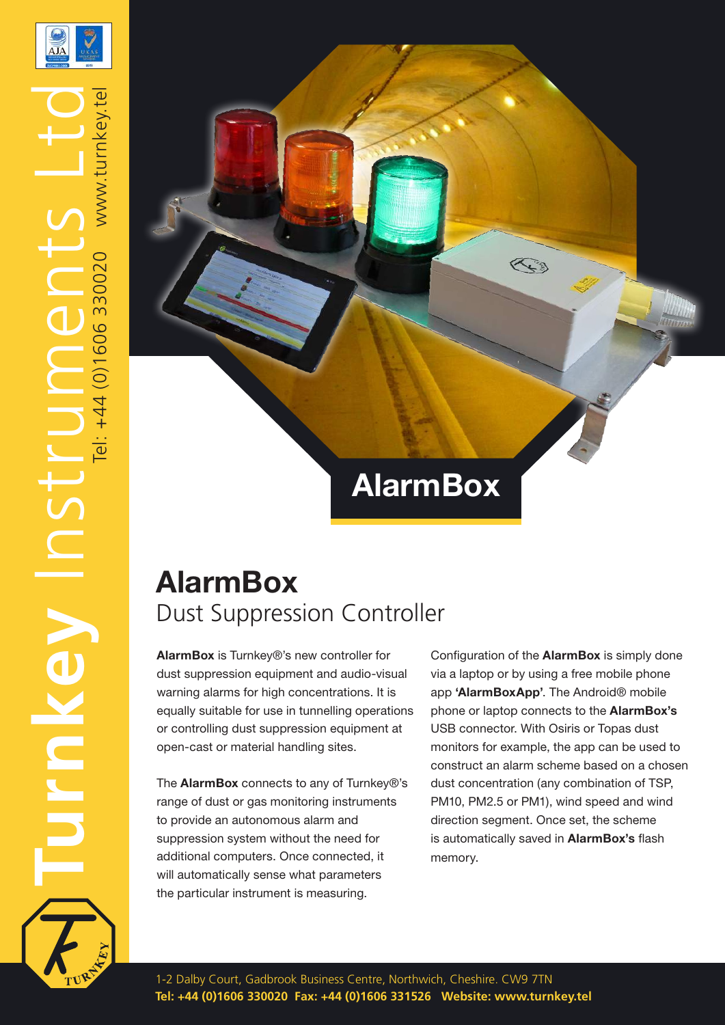

www.turnkev

el: +44 (0)1606 330020

TurnKey Instruments Ltd

STC

VPYULI

## **AlarmBox**

## **AlarmBox** Dust Suppression Controller

**AlarmBox** is Turnkey®'s new controller for dust suppression equipment and audio-visual warning alarms for high concentrations. It is equally suitable for use in tunnelling operations or controlling dust suppression equipment at open-cast or material handling sites.

The **AlarmBox** connects to any of Turnkey®'s range of dust or gas monitoring instruments to provide an autonomous alarm and suppression system without the need for additional computers. Once connected, it will automatically sense what parameters the particular instrument is measuring.

Configuration of the **AlarmBox** is simply done via a laptop or by using a free mobile phone app **'AlarmBoxApp'**. The Android® mobile phone or laptop connects to the **AlarmBox's** USB connector. With Osiris or Topas dust monitors for example, the app can be used to construct an alarm scheme based on a chosen dust concentration (any combination of TSP, PM10, PM2.5 or PM1), wind speed and wind direction segment. Once set, the scheme is automatically saved in **AlarmBox's** flash memory.

 $\left\langle \left\langle \cdot \right\rangle \right\rangle$ 

1-2 Dalby Court, Gadbrook Business Centre, Northwich, Cheshire. CW9 7TN **Tel: +44 (0)1606 330020 Fax: +44 (0)1606 331526 Website: www.turnkey.tel**